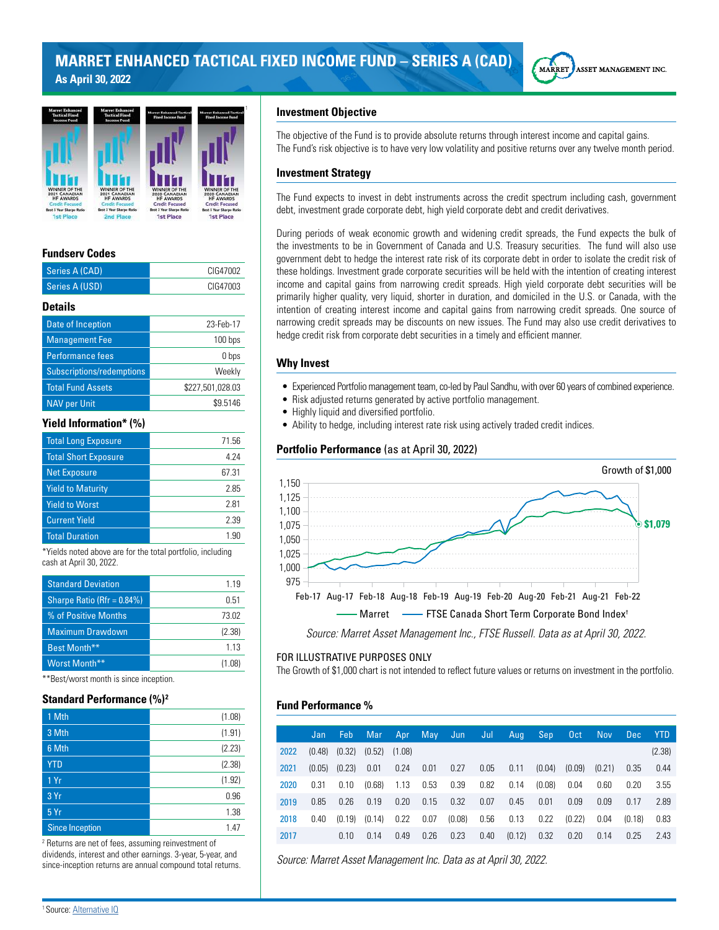



## **Fundserv Codes**

| Series A (CAD)                                            | CIG47002         |  |  |  |  |  |
|-----------------------------------------------------------|------------------|--|--|--|--|--|
| Series A (USD)                                            | CIG47003         |  |  |  |  |  |
| <b>Details</b>                                            |                  |  |  |  |  |  |
| Date of Inception                                         | 23-Feb-17        |  |  |  |  |  |
| <b>Management Fee</b>                                     | 100 bps          |  |  |  |  |  |
| <b>Performance fees</b>                                   | 0 bps            |  |  |  |  |  |
| Subscriptions/redemptions                                 | Weekly           |  |  |  |  |  |
| <b>Total Fund Assets</b>                                  | \$227,501,028.03 |  |  |  |  |  |
| <b>NAV per Unit</b>                                       | \$9.5146         |  |  |  |  |  |
| <b>Yield Information* (%)</b>                             |                  |  |  |  |  |  |
| <b>Total Long Exposure</b>                                | 71.56            |  |  |  |  |  |
| <b>Total Short Exposure</b>                               | 4.24             |  |  |  |  |  |
| <b>Net Exposure</b>                                       | 67.31            |  |  |  |  |  |
| <b>Yield to Maturity</b>                                  | 2.85             |  |  |  |  |  |
| <b>Yield to Worst</b>                                     | 2.81             |  |  |  |  |  |
| <b>Current Yield</b>                                      | 2.39             |  |  |  |  |  |
| <b>Total Duration</b>                                     | 1.90             |  |  |  |  |  |
| *Yields noted above are for the total nortfolio including |                  |  |  |  |  |  |

\*Yields noted above are for the total portfolio, including cash at April 30, 2022.

| <b>Standard Deviation</b>      | 1.19   |
|--------------------------------|--------|
| Sharpe Ratio (Rfr = $0.84\%$ ) | O 51   |
| % of Positive Months           | 73.02  |
| <b>Maximum Drawdown</b>        | (2.38) |
| Best Month**                   | 1 1 3  |
| Worst Month**                  | (1.08) |

\*\*Best/worst month is since inception.

## **Standard Performance (%)<sup>2</sup>**

| 1 Mth                  | (1.08) |
|------------------------|--------|
| 3 Mth                  | (1.91) |
| 6 Mth                  | (2.23) |
| <b>YTD</b>             | (2.38) |
| 1 Yr                   | (1.92) |
| 3 Yr                   | 0.96   |
| 5Yr                    | 1.38   |
| <b>Since Inception</b> | 1.47   |

2 Returns are net of fees, assuming reinvestment of dividends, interest and other earnings. 3-year, 5-year, and since-inception returns are annual compound total returns.

#### **Investment Objective**

The objective of the Fund is to provide absolute returns through interest income and capital gains. The Fund's risk objective is to have very low volatility and positive returns over any twelve month period.

#### **Investment Strategy**

The Fund expects to invest in debt instruments across the credit spectrum including cash, government debt, investment grade corporate debt, high yield corporate debt and credit derivatives.

During periods of weak economic growth and widening credit spreads, the Fund expects the bulk of the investments to be in Government of Canada and U.S. Treasury securities. The fund will also use government debt to hedge the interest rate risk of its corporate debt in order to isolate the credit risk of these holdings. Investment grade corporate securities will be held with the intention of creating interest income and capital gains from narrowing credit spreads. High yield corporate debt securities will be primarily higher quality, very liquid, shorter in duration, and domiciled in the U.S. or Canada, with the intention of creating interest income and capital gains from narrowing credit spreads. One source of narrowing credit spreads may be discounts on new issues. The Fund may also use credit derivatives to hedge credit risk from corporate debt securities in a timely and efficient manner.

#### **Why Invest**

- Experienced Portfolio management team, co-led by Paul Sandhu, with over 60 years of combined experience.
- Risk adjusted returns generated by active portfolio management.
- Highly liquid and diversified portfolio.
- Ability to hedge, including interest rate risk using actively traded credit indices.

## **Portfolio Performance** (as at April 30, 2022)



## FOR ILLUSTRATIVE PURPOSES ONLY

The Growth of \$1,000 chart is not intended to reflect future values or returns on investment in the portfolio.

#### **Fund Performance %**

|      | Jan    | Feb.   | Mar               | Apr  |      | May Jun | Jul  | Aug    | Sep.   | 0ct    | <b>Nov</b> | Dec.   | <b>YTD</b> |
|------|--------|--------|-------------------|------|------|---------|------|--------|--------|--------|------------|--------|------------|
| 2022 | (0.48) | (0.32) | $(0.52)$ $(1.08)$ |      |      |         |      |        |        |        |            |        | (2.38)     |
| 2021 | (0.05) | (0.23) | 0.01              | 0.24 | 0.01 | 0.27    | 0.05 | 0.11   | (0.04) | (0.09) | (0.21)     | 0.35   | 0.44       |
| 2020 | 0.31   | 0.10   | (0.68)            | 1.13 | 0.53 | 0.39    | 0.82 | 0.14   | (0.08) | 0.04   | 0.60       | 0.20   | 3.55       |
| 2019 | 0.85   | 0.26   | 0.19              | 0.20 | 0.15 | 0.32    | 0.07 | 0.45   | 0.01   | 0.09   | 0.09       | 0.17   | 2.89       |
| 2018 | 0.40   | (0.19) | (0.14)            | 0.22 | 0.07 | (0.08)  | 0.56 | 0.13   | 0.22   | (0.22) | 0.04       | (0.18) | 0.83       |
| 2017 |        | 0.10   | 0.14              | 0.49 | 0.26 | 0.23    | 0.40 | (0.12) | 0.32   | 0.20   | 0.14       | 0.25   | 2.43       |

*Source: Marret Asset Management Inc. Data as at April 30, 2022.*